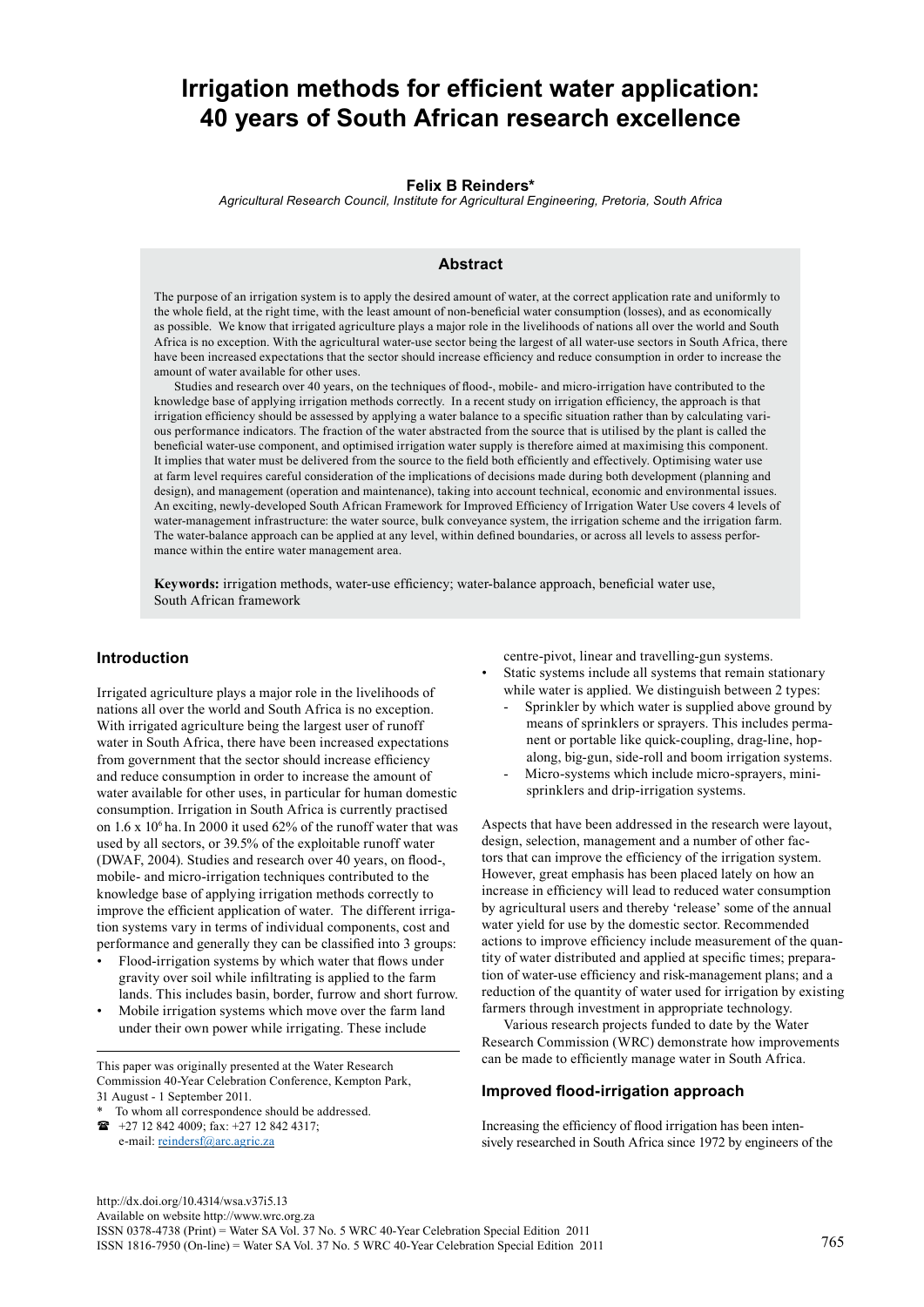# **Irrigation methods for efficient water application: 40 years of South African research excellence**

#### **Felix B Reinders\***

*Agricultural Research Council, Institute for Agricultural Engineering, Pretoria, South Africa*

# **Abstract**

The purpose of an irrigation system is to apply the desired amount of water, at the correct application rate and uniformly to the whole field, at the right time, with the least amount of non-beneficial water consumption (losses), and as economically as possible. We know that irrigated agriculture plays a major role in the livelihoods of nations all over the world and South Africa is no exception. With the agricultural water-use sector being the largest of all water-use sectors in South Africa, there have been increased expectations that the sector should increase efficiency and reduce consumption in order to increase the amount of water available for other uses.

Studies and research over 40 years, on the techniques of flood-, mobile- and micro-irrigation have contributed to the knowledge base of applying irrigation methods correctly. In a recent study on irrigation efficiency, the approach is that irrigation efficiency should be assessed by applying a water balance to a specific situation rather than by calculating various performance indicators. The fraction of the water abstracted from the source that is utilised by the plant is called the beneficial water-use component, and optimised irrigation water supply is therefore aimed at maximising this component. It implies that water must be delivered from the source to the field both efficiently and effectively. Optimising water use at farm level requires careful consideration of the implications of decisions made during both development (planning and design), and management (operation and maintenance), taking into account technical, economic and environmental issues. An exciting, newly-developed South African Framework for Improved Efficiency of Irrigation Water Use covers 4 levels of water-management infrastructure: the water source, bulk conveyance system, the irrigation scheme and the irrigation farm. The water-balance approach can be applied at any level, within defined boundaries, or across all levels to assess performance within the entire water management area.

**Keywords:** irrigation methods, water-use efficiency; water-balance approach, beneficial water use, South African framework

## **Introduction**

Irrigated agriculture plays a major role in the livelihoods of nations all over the world and South Africa is no exception. With irrigated agriculture being the largest user of runoff water in South Africa, there have been increased expectations from government that the sector should increase efficiency and reduce consumption in order to increase the amount of water available for other uses, in particular for human domestic consumption. Irrigation in South Africa is currently practised on 1.6 x 106 ha.In 2000 it used 62% of the runoff water that was used by all sectors, or 39.5% of the exploitable runoff water (DWAF, 2004). Studies and research over 40 years, on flood-, mobile- and micro-irrigation techniques contributed to the knowledge base of applying irrigation methods correctly to improve the efficient application of water. The different irrigation systems vary in terms of individual components, cost and performance and generally they can be classified into 3 groups:

- Flood-irrigation systems by which water that flows under gravity over soil while infiltrating is applied to the farm lands. This includes basin, border, furrow and short furrow.
- Mobile irrigation systems which move over the farm land under their own power while irrigating. These include

This paper was originally presented at the Water Research Commission 40-Year Celebration Conference, Kempton Park, 31 August - 1 September 2011.

To whom all correspondence should be addressed. +27 12 842 4009; fax: +27 12 842 4317;

e-mail: reindersf@arc.agric.za

centre-pivot, linear and travelling-gun systems.

- Static systems include all systems that remain stationary while water is applied. We distinguish between 2 types:
	- Sprinkler by which water is supplied above ground by means of sprinklers or sprayers. This includes permanent or portable like quick-coupling, drag-line, hopalong, big-gun, side-roll and boom irrigation systems.
	- Micro-systems which include micro-sprayers, minisprinklers and drip-irrigation systems.

Aspects that have been addressed in the research were layout, design, selection, management and a number of other factors that can improve the efficiency of the irrigation system. However, great emphasis has been placed lately on how an increase in efficiency will lead to reduced water consumption by agricultural users and thereby 'release' some of the annual water yield for use by the domestic sector. Recommended actions to improve efficiency include measurement of the quantity of water distributed and applied at specific times; preparation of water-use efficiency and risk-management plans; and a reduction of the quantity of water used for irrigation by existing farmers through investment in appropriate technology.

Various research projects funded to date by the Water Research Commission (WRC) demonstrate how improvements can be made to efficiently manage water in South Africa.

#### **Improved flood-irrigation approach**

Increasing the efficiency of flood irrigation has been intensively researched in South Africa since 1972 by engineers of the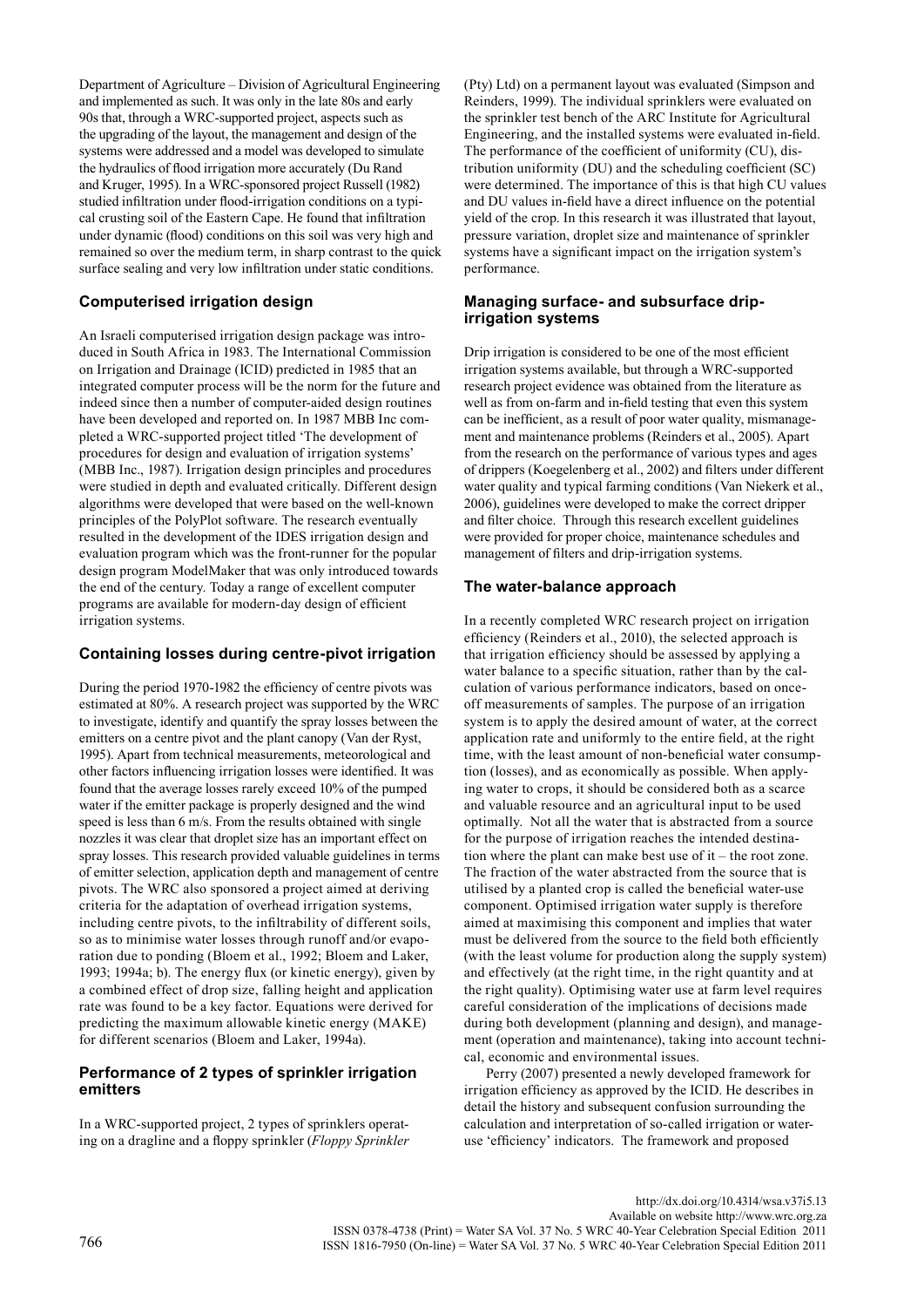Department of Agriculture – Division of Agricultural Engineering and implemented as such. It was only in the late 80s and early 90s that, through a WRC-supported project, aspects such as the upgrading of the layout, the management and design of the systems were addressed and a model was developed to simulate the hydraulics of flood irrigation more accurately (Du Rand and Kruger, 1995). In a WRC-sponsored project Russell (1982) studied infiltration under flood-irrigation conditions on a typical crusting soil of the Eastern Cape. He found that infiltration under dynamic (flood) conditions on this soil was very high and remained so over the medium term, in sharp contrast to the quick surface sealing and very low infiltration under static conditions.

# **Computerised irrigation design**

An Israeli computerised irrigation design package was introduced in South Africa in 1983. The International Commission on Irrigation and Drainage (ICID) predicted in 1985 that an integrated computer process will be the norm for the future and indeed since then a number of computer-aided design routines have been developed and reported on. In 1987 MBB Inc completed a WRC-supported project titled 'The development of procedures for design and evaluation of irrigation systems' (MBB Inc., 1987). Irrigation design principles and procedures were studied in depth and evaluated critically. Different design algorithms were developed that were based on the well-known principles of the PolyPlot software. The research eventually resulted in the development of the IDES irrigation design and evaluation program which was the front-runner for the popular design program ModelMaker that was only introduced towards the end of the century. Today a range of excellent computer programs are available for modern-day design of efficient irrigation systems.

# **Containing losses during centre-pivot irrigation**

During the period 1970-1982 the efficiency of centre pivots was estimated at 80%. A research project was supported by the WRC to investigate, identify and quantify the spray losses between the emitters on a centre pivot and the plant canopy (Van der Ryst, 1995). Apart from technical measurements, meteorological and other factors influencing irrigation losses were identified. It was found that the average losses rarely exceed 10% of the pumped water if the emitter package is properly designed and the wind speed is less than 6 m/s. From the results obtained with single nozzles it was clear that droplet size has an important effect on spray losses. This research provided valuable guidelines in terms of emitter selection, application depth and management of centre pivots. The WRC also sponsored a project aimed at deriving criteria for the adaptation of overhead irrigation systems, including centre pivots, to the infiltrability of different soils, so as to minimise water losses through runoff and/or evaporation due to ponding (Bloem et al., 1992; Bloem and Laker, 1993; 1994a; b). The energy flux (or kinetic energy), given by a combined effect of drop size, falling height and application rate was found to be a key factor. Equations were derived for predicting the maximum allowable kinetic energy (MAKE) for different scenarios (Bloem and Laker, 1994a).

# **Performance of 2 types of sprinkler irrigation emitters**

In a WRC-supported project, 2 types of sprinklers operating on a dragline and a floppy sprinkler (*Floppy Sprinkler* (Pty) Ltd) on a permanent layout was evaluated (Simpson and Reinders, 1999). The individual sprinklers were evaluated on the sprinkler test bench of the ARC Institute for Agricultural Engineering, and the installed systems were evaluated in-field. The performance of the coefficient of uniformity (CU), distribution uniformity (DU) and the scheduling coefficient (SC) were determined. The importance of this is that high CU values and DU values in-field have a direct influence on the potential yield of the crop. In this research it was illustrated that layout, pressure variation, droplet size and maintenance of sprinkler systems have a significant impact on the irrigation system's performance.

# **Managing surface- and subsurface dripirrigation systems**

Drip irrigation is considered to be one of the most efficient irrigation systems available, but through a WRC-supported research project evidence was obtained from the literature as well as from on-farm and in-field testing that even this system can be inefficient, as a result of poor water quality, mismanagement and maintenance problems (Reinders et al., 2005). Apart from the research on the performance of various types and ages of drippers (Koegelenberg et al., 2002) and filters under different water quality and typical farming conditions (Van Niekerk et al., 2006), guidelines were developed to make the correct dripper and filter choice. Through this research excellent guidelines were provided for proper choice, maintenance schedules and management of filters and drip-irrigation systems.

# **The water-balance approach**

In a recently completed WRC research project on irrigation efficiency (Reinders et al., 2010), the selected approach is that irrigation efficiency should be assessed by applying a water balance to a specific situation, rather than by the calculation of various performance indicators, based on onceoff measurements of samples. The purpose of an irrigation system is to apply the desired amount of water, at the correct application rate and uniformly to the entire field, at the right time, with the least amount of non-beneficial water consumption (losses), and as economically as possible. When applying water to crops, it should be considered both as a scarce and valuable resource and an agricultural input to be used optimally. Not all the water that is abstracted from a source for the purpose of irrigation reaches the intended destination where the plant can make best use of it – the root zone. The fraction of the water abstracted from the source that is utilised by a planted crop is called the beneficial water-use component. Optimised irrigation water supply is therefore aimed at maximising this component and implies that water must be delivered from the source to the field both efficiently (with the least volume for production along the supply system) and effectively (at the right time, in the right quantity and at the right quality). Optimising water use at farm level requires careful consideration of the implications of decisions made during both development (planning and design), and management (operation and maintenance), taking into account technical, economic and environmental issues.

Perry (2007) presented a newly developed framework for irrigation efficiency as approved by the ICID. He describes in detail the history and subsequent confusion surrounding the calculation and interpretation of so-called irrigation or wateruse 'efficiency' indicators. The framework and proposed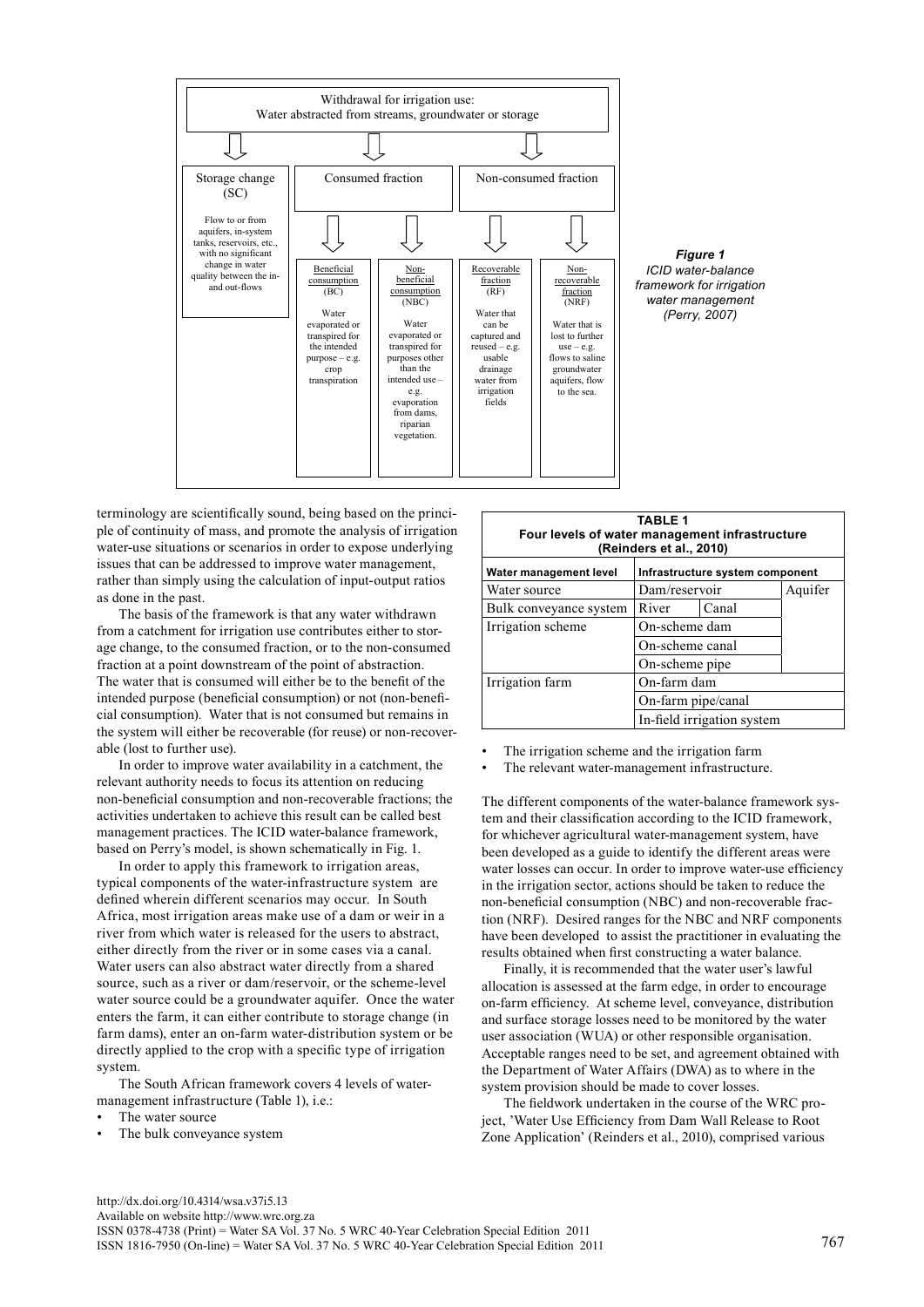

#### *Figure 1 ICID water-balance framework for irrigation water management (Perry, 2007)*

terminology are scientifically sound, being based on the principle of continuity of mass, and promote the analysis of irrigation water-use situations or scenarios in order to expose underlying issues that can be addressed to improve water management, rather than simply using the calculation of input-output ratios as done in the past.

The basis of the framework is that any water withdrawn from a catchment for irrigation use contributes either to storage change, to the consumed fraction, or to the non-consumed fraction at a point downstream of the point of abstraction. The water that is consumed will either be to the benefit of the intended purpose (beneficial consumption) or not (non-beneficial consumption). Water that is not consumed but remains in the system will either be recoverable (for reuse) or non-recoverable (lost to further use).

In order to improve water availability in a catchment, the relevant authority needs to focus its attention on reducing non-beneficial consumption and non-recoverable fractions; the activities undertaken to achieve this result can be called best management practices. The ICID water-balance framework, based on Perry's model, is shown schematically in Fig. 1.

In order to apply this framework to irrigation areas, typical components of the water-infrastructure system are defined wherein different scenarios may occur. In South Africa, most irrigation areas make use of a dam or weir in a river from which water is released for the users to abstract, either directly from the river or in some cases via a canal. Water users can also abstract water directly from a shared source, such as a river or dam/reservoir, or the scheme-level water source could be a groundwater aquifer. Once the water enters the farm, it can either contribute to storage change (in farm dams), enter an on-farm water-distribution system or be directly applied to the crop with a specific type of irrigation system.

The South African framework covers 4 levels of watermanagement infrastructure (Table 1), i.e.:

- The water source
- The bulk conveyance system

| <b>TABLE 1</b><br>Four levels of water management infrastructure<br>(Reinders et al., 2010) |                                 |       |         |  |  |  |  |
|---------------------------------------------------------------------------------------------|---------------------------------|-------|---------|--|--|--|--|
| Water management level                                                                      | Infrastructure system component |       |         |  |  |  |  |
| Water source                                                                                | Dam/reservoir                   |       | Aquifer |  |  |  |  |
| Bulk conveyance system                                                                      | River                           | Canal |         |  |  |  |  |
| Irrigation scheme                                                                           | On-scheme dam                   |       |         |  |  |  |  |
|                                                                                             | On-scheme canal                 |       |         |  |  |  |  |
|                                                                                             | On-scheme pipe                  |       |         |  |  |  |  |
| Irrigation farm                                                                             | On-farm dam                     |       |         |  |  |  |  |
|                                                                                             | On-farm pipe/canal              |       |         |  |  |  |  |
|                                                                                             | In-field irrigation system      |       |         |  |  |  |  |

The irrigation scheme and the irrigation farm

The relevant water-management infrastructure.

The different components of the water-balance framework system and their classification according to the ICID framework, for whichever agricultural water-management system, have been developed as a guide to identify the different areas were water losses can occur. In order to improve water-use efficiency in the irrigation sector, actions should be taken to reduce the non-beneficial consumption (NBC) and non-recoverable fraction (NRF). Desired ranges for the NBC and NRF components have been developed to assist the practitioner in evaluating the results obtained when first constructing a water balance.

Finally, it is recommended that the water user's lawful allocation is assessed at the farm edge, in order to encourage on-farm efficiency. At scheme level, conveyance, distribution and surface storage losses need to be monitored by the water user association (WUA) or other responsible organisation. Acceptable ranges need to be set, and agreement obtained with the Department of Water Affairs (DWA) as to where in the system provision should be made to cover losses.

The fieldwork undertaken in the course of the WRC project, 'Water Use Efficiency from Dam Wall Release to Root Zone Application' (Reinders et al., 2010), comprised various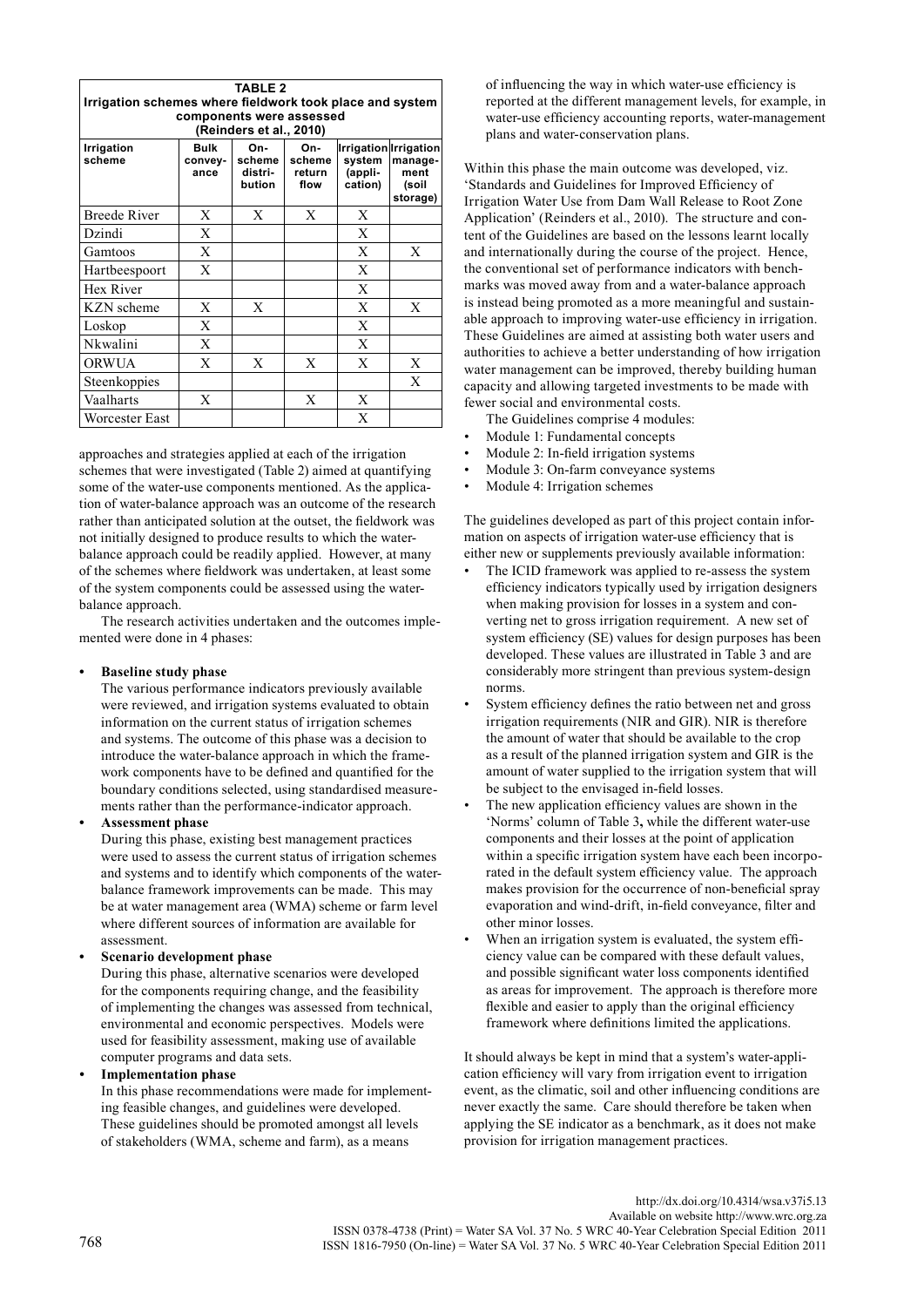| <b>TABLE 2</b><br>Irrigation schemes where fieldwork took place and system<br>components were assessed<br>(Reinders et al., 2010) |                                |                                      |                                 |                              |                                                               |  |  |  |  |
|-----------------------------------------------------------------------------------------------------------------------------------|--------------------------------|--------------------------------------|---------------------------------|------------------------------|---------------------------------------------------------------|--|--|--|--|
| Irrigation<br>scheme                                                                                                              | <b>Bulk</b><br>convey-<br>ance | On-<br>scheme  <br>distri-<br>bution | On-<br>scheme<br>return<br>flow | system<br>(appli-<br>cation) | Irrigation Irrigation<br>manage-<br>ment<br>(soil<br>storage) |  |  |  |  |
| <b>Breede River</b>                                                                                                               | X                              | X                                    | X                               | X                            |                                                               |  |  |  |  |
| Dzindi                                                                                                                            | X                              |                                      |                                 | X                            |                                                               |  |  |  |  |
| Gamtoos                                                                                                                           | X                              |                                      |                                 | X                            | X                                                             |  |  |  |  |
| Hartbeespoort                                                                                                                     | X                              |                                      |                                 | X                            |                                                               |  |  |  |  |
| Hex River                                                                                                                         |                                |                                      |                                 | X                            |                                                               |  |  |  |  |
| KZN scheme                                                                                                                        | X                              | X                                    |                                 | X                            | X                                                             |  |  |  |  |
| Loskop                                                                                                                            | X                              |                                      |                                 | X                            |                                                               |  |  |  |  |
| Nkwalini                                                                                                                          | X                              |                                      |                                 | X                            |                                                               |  |  |  |  |
| <b>ORWUA</b>                                                                                                                      | X                              | X                                    | X                               | X                            | X                                                             |  |  |  |  |
| Steenkoppies                                                                                                                      |                                |                                      |                                 |                              | X                                                             |  |  |  |  |
| Vaalharts                                                                                                                         | X                              |                                      | X                               | X                            |                                                               |  |  |  |  |
| Worcester East                                                                                                                    |                                |                                      |                                 | X                            |                                                               |  |  |  |  |

approaches and strategies applied at each of the irrigation schemes that were investigated (Table 2) aimed at quantifying some of the water-use components mentioned. As the application of water-balance approach was an outcome of the research rather than anticipated solution at the outset, the fieldwork was not initially designed to produce results to which the waterbalance approach could be readily applied. However, at many of the schemes where fieldwork was undertaken, at least some of the system components could be assessed using the waterbalance approach.

The research activities undertaken and the outcomes implemented were done in 4 phases:

#### **Baseline study phase**

The various performance indicators previously available were reviewed, and irrigation systems evaluated to obtain information on the current status of irrigation schemes and systems. The outcome of this phase was a decision to introduce the water-balance approach in which the framework components have to be defined and quantified for the boundary conditions selected, using standardised measurements rather than the performance-indicator approach.

# **Assessment phase**

During this phase, existing best management practices were used to assess the current status of irrigation schemes and systems and to identify which components of the waterbalance framework improvements can be made. This may be at water management area (WMA) scheme or farm level where different sources of information are available for assessment.

# **Scenario development phase**

During this phase, alternative scenarios were developed for the components requiring change, and the feasibility of implementing the changes was assessed from technical, environmental and economic perspectives. Models were used for feasibility assessment, making use of available computer programs and data sets.

# **Implementation phase**

In this phase recommendations were made for implementing feasible changes, and guidelines were developed. These guidelines should be promoted amongst all levels of stakeholders (WMA, scheme and farm), as a means

of influencing the way in which water-use efficiency is reported at the different management levels, for example, in water-use efficiency accounting reports, water-management plans and water-conservation plans.

Within this phase the main outcome was developed, viz. 'Standards and Guidelines for Improved Efficiency of Irrigation Water Use from Dam Wall Release to Root Zone Application' (Reinders et al., 2010). The structure and content of the Guidelines are based on the lessons learnt locally and internationally during the course of the project. Hence, the conventional set of performance indicators with benchmarks was moved away from and a water-balance approach is instead being promoted as a more meaningful and sustainable approach to improving water-use efficiency in irrigation. These Guidelines are aimed at assisting both water users and authorities to achieve a better understanding of how irrigation water management can be improved, thereby building human capacity and allowing targeted investments to be made with fewer social and environmental costs.

The Guidelines comprise 4 modules:

- Module 1: Fundamental concepts
- Module 2: In-field irrigation systems
- Module 3: On-farm conveyance systems
- Module 4: Irrigation schemes

The guidelines developed as part of this project contain information on aspects of irrigation water-use efficiency that is either new or supplements previously available information:

- The ICID framework was applied to re-assess the system efficiency indicators typically used by irrigation designers when making provision for losses in a system and converting net to gross irrigation requirement. A new set of system efficiency (SE) values for design purposes has been developed. These values are illustrated in Table 3 and are considerably more stringent than previous system-design norms.
- System efficiency defines the ratio between net and gross irrigation requirements (NIR and GIR). NIR is therefore the amount of water that should be available to the crop as a result of the planned irrigation system and GIR is the amount of water supplied to the irrigation system that will be subject to the envisaged in-field losses.
- The new application efficiency values are shown in the 'Norms' column of Table 3**,** while the different water-use components and their losses at the point of application within a specific irrigation system have each been incorporated in the default system efficiency value. The approach makes provision for the occurrence of non-beneficial spray evaporation and wind-drift, in-field conveyance, filter and other minor losses.
- When an irrigation system is evaluated, the system efficiency value can be compared with these default values, and possible significant water loss components identified as areas for improvement. The approach is therefore more flexible and easier to apply than the original efficiency framework where definitions limited the applications.

It should always be kept in mind that a system's water-application efficiency will vary from irrigation event to irrigation event, as the climatic, soil and other influencing conditions are never exactly the same. Care should therefore be taken when applying the SE indicator as a benchmark, as it does not make provision for irrigation management practices.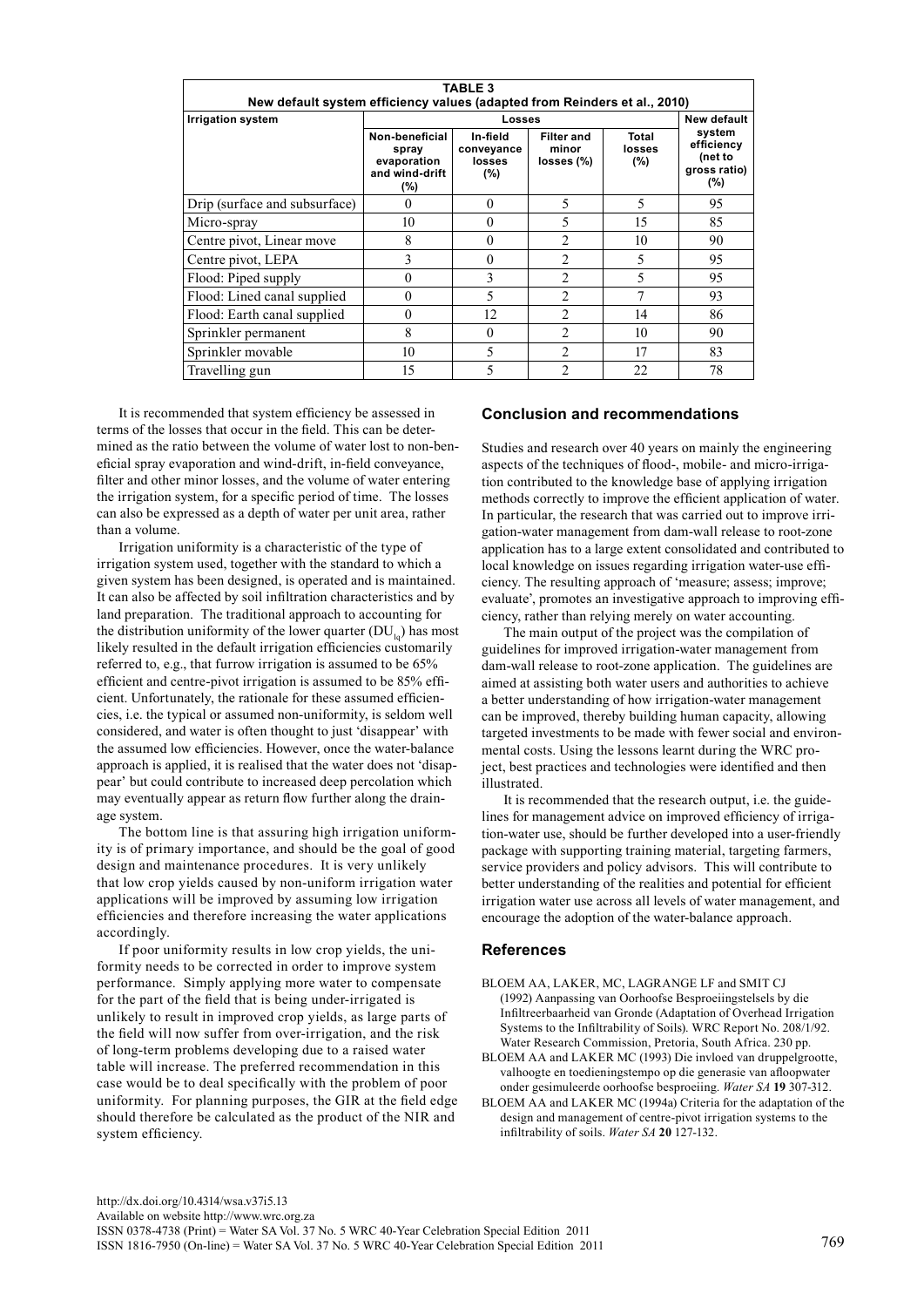| <b>TABLE 3</b><br>New default system efficiency values (adapted from Reinders et al., 2010) |                                                                 |                                         |                                            |                        |                                                        |  |  |  |
|---------------------------------------------------------------------------------------------|-----------------------------------------------------------------|-----------------------------------------|--------------------------------------------|------------------------|--------------------------------------------------------|--|--|--|
| <b>Irrigation system</b>                                                                    |                                                                 |                                         | New default                                |                        |                                                        |  |  |  |
|                                                                                             | Non-beneficial<br>spray<br>evaporation<br>and wind-drift<br>(%) | In-field<br>conveyance<br>losses<br>(%) | <b>Filter and</b><br>minor<br>$losses$ $%$ | Total<br>losses<br>(%) | system<br>efficiency<br>(net to<br>gross ratio)<br>(%) |  |  |  |
| Drip (surface and subsurface)                                                               |                                                                 | $\theta$                                | 5                                          | 5                      | 95                                                     |  |  |  |
| Micro-spray                                                                                 | 10                                                              | $\theta$                                | 5                                          | 15                     | 85                                                     |  |  |  |
| Centre pivot, Linear move                                                                   | 8                                                               | $\theta$                                | $\overline{2}$                             | 10                     | 90                                                     |  |  |  |
| Centre pivot, LEPA                                                                          | 3                                                               | $\theta$                                | $\overline{2}$                             | 5                      | 95                                                     |  |  |  |
| Flood: Piped supply                                                                         | 0                                                               | 3                                       | $\mathfrak{D}$                             | 5                      | 95                                                     |  |  |  |
| Flood: Lined canal supplied                                                                 | 0                                                               | 5                                       | $\mathfrak{D}$                             |                        | 93                                                     |  |  |  |
| Flood: Earth canal supplied                                                                 | 0                                                               | 12                                      | $\mathfrak{D}$                             | 14                     | 86                                                     |  |  |  |
| Sprinkler permanent                                                                         | 8                                                               | $\Omega$                                | $\mathfrak{D}$                             | 10                     | 90                                                     |  |  |  |
| Sprinkler movable                                                                           | 10                                                              | 5                                       | $\mathfrak{D}$                             | 17                     | 83                                                     |  |  |  |
| Travelling gun                                                                              | 15                                                              | 5                                       | $\mathfrak{D}$                             | 22                     | 78                                                     |  |  |  |

It is recommended that system efficiency be assessed in terms of the losses that occur in the field. This can be determined as the ratio between the volume of water lost to non-beneficial spray evaporation and wind-drift, in-field conveyance, filter and other minor losses, and the volume of water entering the irrigation system, for a specific period of time. The losses can also be expressed as a depth of water per unit area, rather than a volume.

Irrigation uniformity is a characteristic of the type of irrigation system used, together with the standard to which a given system has been designed, is operated and is maintained. It can also be affected by soil infiltration characteristics and by land preparation. The traditional approach to accounting for the distribution uniformity of the lower quarter  $(DU_{1})$  has most likely resulted in the default irrigation efficiencies customarily referred to, e.g., that furrow irrigation is assumed to be 65% efficient and centre-pivot irrigation is assumed to be 85% efficient. Unfortunately, the rationale for these assumed efficiencies, i.e. the typical or assumed non-uniformity, is seldom well considered, and water is often thought to just 'disappear' with the assumed low efficiencies. However, once the water-balance approach is applied, it is realised that the water does not 'disappear' but could contribute to increased deep percolation which may eventually appear as return flow further along the drainage system.

The bottom line is that assuring high irrigation uniformity is of primary importance, and should be the goal of good design and maintenance procedures. It is very unlikely that low crop yields caused by non-uniform irrigation water applications will be improved by assuming low irrigation efficiencies and therefore increasing the water applications accordingly.

If poor uniformity results in low crop yields, the uniformity needs to be corrected in order to improve system performance. Simply applying more water to compensate for the part of the field that is being under-irrigated is unlikely to result in improved crop yields, as large parts of the field will now suffer from over-irrigation, and the risk of long-term problems developing due to a raised water table will increase. The preferred recommendation in this case would be to deal specifically with the problem of poor uniformity. For planning purposes, the GIR at the field edge should therefore be calculated as the product of the NIR and system efficiency.

#### **Conclusion and recommendations**

Studies and research over 40 years on mainly the engineering aspects of the techniques of flood-, mobile- and micro-irrigation contributed to the knowledge base of applying irrigation methods correctly to improve the efficient application of water. In particular, the research that was carried out to improve irrigation-water management from dam-wall release to root-zone application has to a large extent consolidated and contributed to local knowledge on issues regarding irrigation water-use efficiency. The resulting approach of 'measure; assess; improve; evaluate', promotes an investigative approach to improving efficiency, rather than relying merely on water accounting.

The main output of the project was the compilation of guidelines for improved irrigation-water management from dam-wall release to root-zone application. The guidelines are aimed at assisting both water users and authorities to achieve a better understanding of how irrigation-water management can be improved, thereby building human capacity, allowing targeted investments to be made with fewer social and environmental costs. Using the lessons learnt during the WRC project, best practices and technologies were identified and then illustrated.

It is recommended that the research output, i.e. the guidelines for management advice on improved efficiency of irrigation-water use, should be further developed into a user-friendly package with supporting training material, targeting farmers, service providers and policy advisors. This will contribute to better understanding of the realities and potential for efficient irrigation water use across all levels of water management, and encourage the adoption of the water-balance approach.

## **References**

- BLOEM AA, LAKER, MC, LAGRANGE LF and SMIT CJ (1992) Aanpassing van Oorhoofse Besproeiingstelsels by die Infiltreerbaarheid van Gronde (Adaptation of Overhead Irrigation Systems to the Infiltrability of Soils). WRC Report No. 208/1/92. Water Research Commission, Pretoria, South Africa. 230 pp.
- BLOEM AA and LAKER MC (1993) Die invloed van druppelgrootte, valhoogte en toedieningstempo op die generasie van afloopwater onder gesimuleerde oorhoofse besproeiing. *Water SA* **19** 307-312.
- BLOEM AA and LAKER MC (1994a) Criteria for the adaptation of the design and management of centre-pivot irrigation systems to the infiltrability of soils. *Water SA* **20** 127-132.